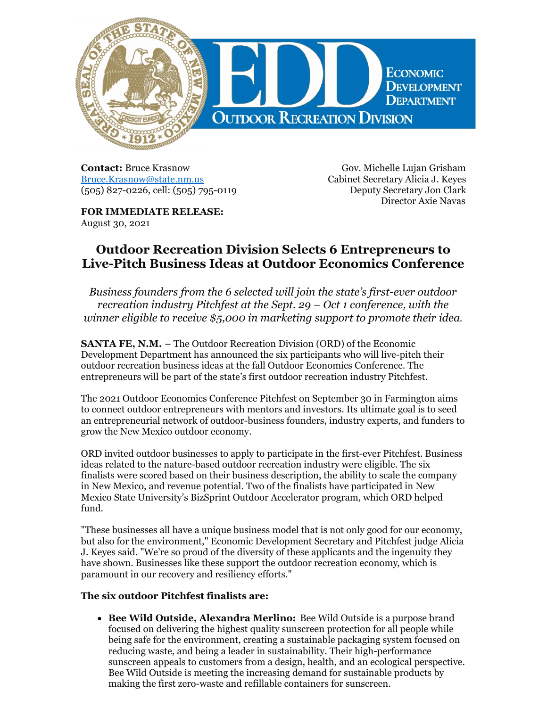

**Contact:** Bruce Krasnow [Bruce.Krasnow@state.nm.us](mailto:Bruce.Krasnow@state.nm.us) (505) 827-0226, cell: (505) 795-0119

Gov. Michelle Lujan Grisham Cabinet Secretary Alicia J. Keyes Deputy Secretary Jon Clark Director Axie Navas

**FOR IMMEDIATE RELEASE:** August 30, 2021

## **Outdoor Recreation Division Selects 6 Entrepreneurs to Live-Pitch Business Ideas at Outdoor Economics Conference**

*Business founders from the 6 selected will join the state's first-ever outdoor recreation industry Pitchfest at the Sept. 29 – Oct 1 conference, with the winner eligible to receive \$5,000 in marketing support to promote their idea*.

**SANTA FE, N.M.** – The Outdoor Recreation Division (ORD) of the Economic Development Department has announced the six participants who will live-pitch their outdoor recreation business ideas at the fall Outdoor Economics Conference. The entrepreneurs will be part of the state's first outdoor recreation industry Pitchfest.

The 2021 Outdoor Economics Conference Pitchfest on September 30 in Farmington aims to connect outdoor entrepreneurs with mentors and investors. Its ultimate goal is to seed an entrepreneurial network of outdoor-business founders, industry experts, and funders to grow the New Mexico outdoor economy.

ORD invited outdoor businesses to apply to participate in the first-ever Pitchfest. Business ideas related to the nature-based outdoor recreation industry were eligible. The six finalists were scored based on their business description, the ability to scale the company in New Mexico, and revenue potential. Two of the finalists have participated in New Mexico State University's BizSprint Outdoor Accelerator program, which ORD helped fund.

"These businesses all have a unique business model that is not only good for our economy, but also for the environment," Economic Development Secretary and Pitchfest judge Alicia J. Keyes said. "We're so proud of the diversity of these applicants and the ingenuity they have shown. Businesses like these support the outdoor recreation economy, which is paramount in our recovery and resiliency efforts."

## **The six outdoor Pitchfest finalists are:**

**Bee Wild Outside, Alexandra Merlino:** Bee Wild Outside is a purpose brand focused on delivering the highest quality sunscreen protection for all people while being safe for the environment, creating a sustainable packaging system focused on reducing waste, and being a leader in sustainability. Their high-performance sunscreen appeals to customers from a design, health, and an ecological perspective. Bee Wild Outside is meeting the increasing demand for sustainable products by making the first zero-waste and refillable containers for sunscreen.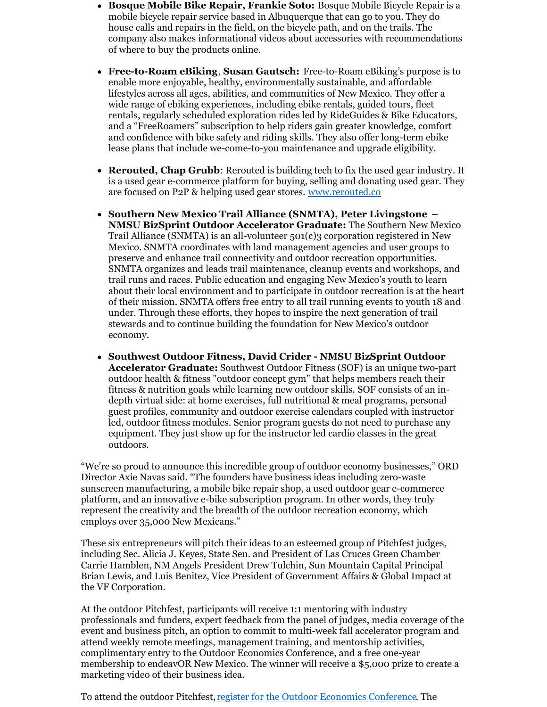- **Bosque Mobile Bike Repair, Frankie Soto:** Bosque Mobile Bicycle Repair is a mobile bicycle repair service based in Albuquerque that can go to you. They do house calls and repairs in the field, on the bicycle path, and on the trails. The company also makes informational videos about accessories with recommendations of where to buy the products online.
- **Free-to-Roam eBiking**, **Susan Gautsch:** Free-to-Roam eBiking's purpose is to enable more enjoyable, healthy, environmentally sustainable, and affordable lifestyles across all ages, abilities, and communities of New Mexico. They offer a wide range of ebiking experiences, including ebike rentals, guided tours, fleet rentals, regularly scheduled exploration rides led by RideGuides & Bike Educators, and a "FreeRoamers" subscription to help riders gain greater knowledge, comfort and confidence with bike safety and riding skills. They also offer long-term ebike lease plans that include we-come-to-you maintenance and upgrade eligibility.
- **Rerouted, Chap Grubb**: Rerouted is building tech to fix the used gear industry. It is a used gear e-commerce platform for buying, selling and donating used gear. They are focused on P2P & helping used gear stores. [www.rerouted.co](http://www.rerouted.co/)
- **Southern New Mexico Trail Alliance (SNMTA), Peter Livingstone – NMSU BizSprint Outdoor Accelerator Graduate:** The Southern New Mexico Trail Alliance (SNMTA) is an all-volunteer  $501(c)$ 3 corporation registered in New Mexico. SNMTA coordinates with land management agencies and user groups to preserve and enhance trail connectivity and outdoor recreation opportunities. SNMTA organizes and leads trail maintenance, cleanup events and workshops, and trail runs and races. Public education and engaging New Mexico's youth to learn about their local environment and to participate in outdoor recreation is at the heart of their mission. SNMTA offers free entry to all trail running events to youth 18 and under. Through these efforts, they hopes to inspire the next generation of trail stewards and to continue building the foundation for New Mexico's outdoor economy.
- **Southwest Outdoor Fitness, David Crider - NMSU BizSprint Outdoor Accelerator Graduate:** Southwest Outdoor Fitness (SOF) is an unique two-part outdoor health & fitness "outdoor concept gym" that helps members reach their fitness & nutrition goals while learning new outdoor skills. SOF consists of an indepth virtual side: at home exercises, full nutritional & meal programs, personal guest profiles, community and outdoor exercise calendars coupled with instructor led, outdoor fitness modules. Senior program guests do not need to purchase any equipment. They just show up for the instructor led cardio classes in the great outdoors.

"We're so proud to announce this incredible group of outdoor economy businesses," ORD Director Axie Navas said. "The founders have business ideas including zero-waste sunscreen manufacturing, a mobile bike repair shop, a used outdoor gear e-commerce platform, and an innovative e-bike subscription program. In other words, they truly represent the creativity and the breadth of the outdoor recreation economy, which employs over 35,000 New Mexicans."

These six entrepreneurs will pitch their ideas to an esteemed group of Pitchfest judges, including Sec. Alicia J. Keyes, State Sen. and President of Las Cruces Green Chamber Carrie Hamblen, NM Angels President Drew Tulchin, Sun Mountain Capital Principal Brian Lewis, and Luis Benitez, Vice President of Government Affairs & Global Impact at the VF Corporation.

At the outdoor Pitchfest, participants will receive 1:1 mentoring with industry professionals and funders, expert feedback from the panel of judges, media coverage of the event and business pitch, an option to commit to multi-week fall accelerator program and attend weekly remote meetings, management training, and mentorship activities, complimentary entry to the Outdoor Economics Conference, and a free one-year membership to endeavOR New Mexico. The winner will receive a \$5,000 prize to create a marketing video of their business idea.

To attend the outdoor Pitchfest, register for the Outdoor Economics [Conference](https://www.outdooreconomics.com/). The